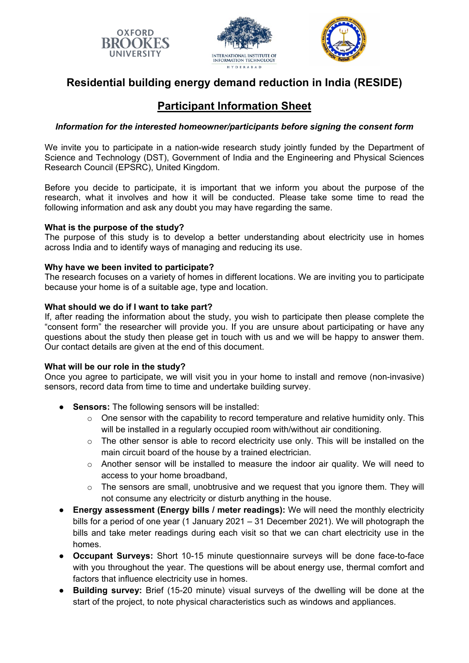





## **Residential building energy demand reduction in India (RESIDE)**

# **Participant Information Sheet**

## *Information for the interested homeowner/participants before signing the consent form*

We invite you to participate in a nation-wide research study jointly funded by the Department of Science and Technology (DST), Government of India and the Engineering and Physical Sciences Research Council (EPSRC), United Kingdom.

Before you decide to participate, it is important that we inform you about the purpose of the research, what it involves and how it will be conducted. Please take some time to read the following information and ask any doubt you may have regarding the same.

## **What is the purpose of the study?**

The purpose of this study is to develop a better understanding about electricity use in homes across India and to identify ways of managing and reducing its use.

## **Why have we been invited to participate?**

The research focuses on a variety of homes in different locations. We are inviting you to participate because your home is of a suitable age, type and location.

## **What should we do if I want to take part?**

If, after reading the information about the study, you wish to participate then please complete the "consent form" the researcher will provide you. If you are unsure about participating or have any questions about the study then please get in touch with us and we will be happy to answer them. Our contact details are given at the end of this document.

#### **What will be our role in the study?**

Once you agree to participate, we will visit you in your home to install and remove (non-invasive) sensors, record data from time to time and undertake building survey.

- **Sensors:** The following sensors will be installed:
	- $\circ$  One sensor with the capability to record temperature and relative humidity only. This will be installed in a regularly occupied room with/without air conditioning.
	- o The other sensor is able to record electricity use only. This will be installed on the main circuit board of the house by a trained electrician.
	- $\circ$  Another sensor will be installed to measure the indoor air quality. We will need to access to your home broadband,
	- o The sensors are small, unobtrusive and we request that you ignore them. They will not consume any electricity or disturb anything in the house.
- **Energy assessment (Energy bills / meter readings):** We will need the monthly electricity bills for a period of one year (1 January 2021 – 31 December 2021). We will photograph the bills and take meter readings during each visit so that we can chart electricity use in the homes.
- **Occupant Surveys:** Short 10-15 minute questionnaire surveys will be done face-to-face with you throughout the year. The questions will be about energy use, thermal comfort and factors that influence electricity use in homes.
- **Building survey:** Brief (15-20 minute) visual surveys of the dwelling will be done at the start of the project, to note physical characteristics such as windows and appliances.